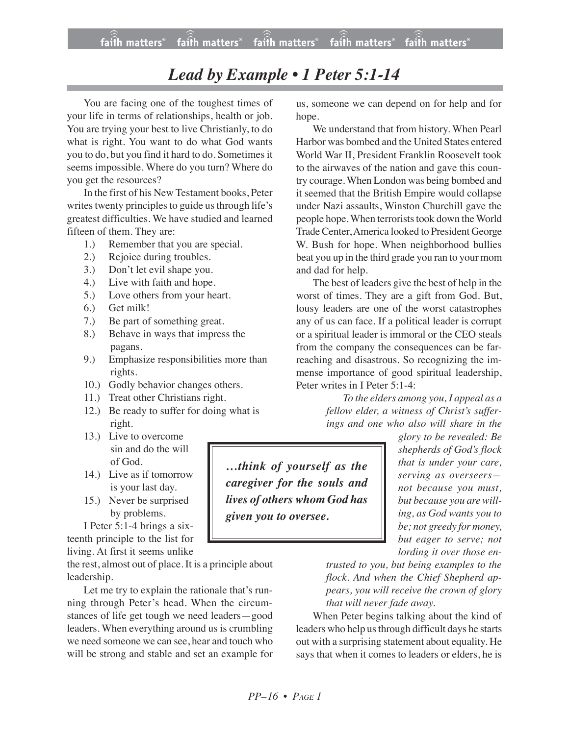## *Lead by Example • 1 Peter 5:1-14*

You are facing one of the toughest times of your life in terms of relationships, health or job. You are trying your best to live Christianly, to do what is right. You want to do what God wants you to do, but you find it hard to do. Sometimes it seems impossible. Where do you turn? Where do you get the resources?

In the first of his New Testament books, Peter writes twenty principles to guide us through life's greatest difficulties. We have studied and learned fifteen of them. They are:

- 1.) Remember that you are special.
- 2.) Rejoice during troubles.
- 3.) Don't let evil shape you.
- 4.) Live with faith and hope.
- 5.) Love others from your heart.
- 6.) Get milk!
- 7.) Be part of something great.
- 8.) Behave in ways that impress the pagans.
- 9.) Emphasize responsibilities more than rights.
- 10.) Godly behavior changes others.
- 11.) Treat other Christians right.
- 12.) Be ready to suffer for doing what is right.
- 13.) Live to overcome sin and do the will of God.
- 14.) Live as if tomorrow is your last day.
- 15.) Never be surprised by problems.

I Peter 5:1-4 brings a sixteenth principle to the list for living. At first it seems unlike

the rest, almost out of place. It is a principle about leadership.

Let me try to explain the rationale that's running through Peter's head. When the circumstances of life get tough we need leaders—good leaders. When everything around us is crumbling we need someone we can see, hear and touch who will be strong and stable and set an example for us, someone we can depend on for help and for hope.

We understand that from history. When Pearl Harbor was bombed and the United States entered World War II, President Franklin Roosevelt took to the airwaves of the nation and gave this country courage.When London was being bombed and it seemed that the British Empire would collapse under Nazi assaults, Winston Churchill gave the people hope. When terrorists took down the World Trade Center, America looked to President George W. Bush for hope. When neighborhood bullies beat you up in the third grade you ran to your mom and dad for help.

The best of leaders give the best of help in the worst of times. They are a gift from God. But, lousy leaders are one of the worst catastrophes any of us can face. If a political leader is corrupt or a spiritual leader is immoral or the CEO steals from the company the consequences can be farreaching and disastrous. So recognizing the immense importance of good spiritual leadership, Peter writes in I Peter 5:1-4:

> *To the elders among you, I appeal as a fellow elder, a witness of Christ's sufferings and one who also will share in the*

*…think of yourself as the caregiver for the souls and lives of others whom God has given you to oversee.*

*glory to be revealed: Be shepherds of God's flock that is under your care, serving as overseers not because you must, but because you are willing, as God wants you to be; not greedy for money, but eager to serve; not lording it over those en-*

*trusted to you, but being examples to the flock. And when the Chief Shepherd appears, you will receive the crown of glory that will never fade away.*

When Peter begins talking about the kind of leaders who help us through difficult days he starts out with a surprising statement about equality. He says that when it comes to leaders or elders, he is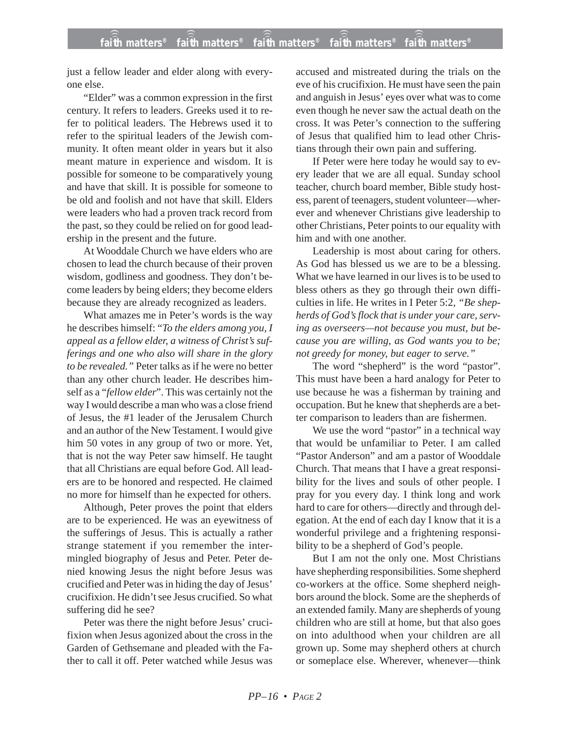just a fellow leader and elder along with everyone else.

"Elder" was a common expression in the first century. It refers to leaders. Greeks used it to refer to political leaders. The Hebrews used it to refer to the spiritual leaders of the Jewish community. It often meant older in years but it also meant mature in experience and wisdom. It is possible for someone to be comparatively young and have that skill. It is possible for someone to be old and foolish and not have that skill. Elders were leaders who had a proven track record from the past, so they could be relied on for good leadership in the present and the future.

At Wooddale Church we have elders who are chosen to lead the church because of their proven wisdom, godliness and goodness. They don't become leaders by being elders; they become elders because they are already recognized as leaders.

What amazes me in Peter's words is the way he describes himself: "*To the elders among you, I appeal as a fellow elder, a witness of Christ's sufferings and one who also will share in the glory to be revealed."* Peter talks as if he were no better than any other church leader. He describes himself as a "*fellow elder*". This was certainly not the way I would describe a man who was a close friend of Jesus, the #1 leader of the Jerusalem Church and an author of the New Testament. I would give him 50 votes in any group of two or more. Yet, that is not the way Peter saw himself. He taught that all Christians are equal before God. All leaders are to be honored and respected. He claimed no more for himself than he expected for others.

Although, Peter proves the point that elders are to be experienced. He was an eyewitness of the sufferings of Jesus. This is actually a rather strange statement if you remember the intermingled biography of Jesus and Peter. Peter denied knowing Jesus the night before Jesus was crucified and Peter was in hiding the day of Jesus' crucifixion. He didn't see Jesus crucified. So what suffering did he see?

Peter was there the night before Jesus' crucifixion when Jesus agonized about the cross in the Garden of Gethsemane and pleaded with the Father to call it off. Peter watched while Jesus was accused and mistreated during the trials on the eve of his crucifixion. He must have seen the pain and anguish in Jesus' eyes over what was to come even though he never saw the actual death on the cross. It was Peter's connection to the suffering of Jesus that qualified him to lead other Christians through their own pain and suffering.

If Peter were here today he would say to every leader that we are all equal. Sunday school teacher, church board member, Bible study hostess, parent of teenagers, student volunteer—wherever and whenever Christians give leadership to other Christians, Peter points to our equality with him and with one another.

Leadership is most about caring for others. As God has blessed us we are to be a blessing. What we have learned in our lives is to be used to bless others as they go through their own difficulties in life. He writes in I Peter 5:2*, "Be shepherds of God's flock that is under your care, serving as overseers—not because you must, but because you are willing, as God wants you to be; not greedy for money, but eager to serve."*

The word "shepherd" is the word "pastor". This must have been a hard analogy for Peter to use because he was a fisherman by training and occupation. But he knew that shepherds are a better comparison to leaders than are fishermen.

We use the word "pastor" in a technical way that would be unfamiliar to Peter. I am called "Pastor Anderson" and am a pastor of Wooddale Church. That means that I have a great responsibility for the lives and souls of other people. I pray for you every day. I think long and work hard to care for others—directly and through delegation. At the end of each day I know that it is a wonderful privilege and a frightening responsibility to be a shepherd of God's people.

But I am not the only one. Most Christians have shepherding responsibilities. Some shepherd co-workers at the office. Some shepherd neighbors around the block. Some are the shepherds of an extended family. Many are shepherds of young children who are still at home, but that also goes on into adulthood when your children are all grown up. Some may shepherd others at church or someplace else. Wherever, whenever—think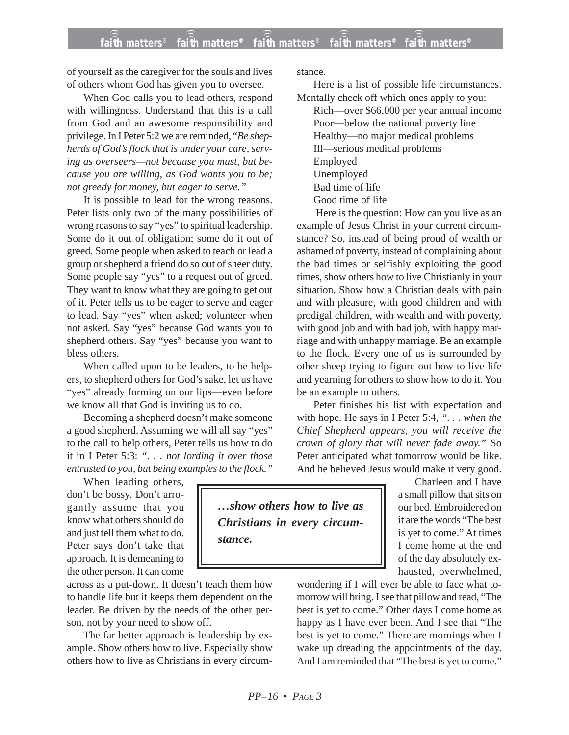of yourself as the caregiver for the souls and lives of others whom God has given you to oversee.

When God calls you to lead others, respond with willingness. Understand that this is a call from God and an awesome responsibility and privilege. In I Peter 5:2 we are reminded, "*Be shepherds of God's flock that is under your care, serving as overseers—not because you must, but because you are willing, as God wants you to be; not greedy for money, but eager to serve."*

It is possible to lead for the wrong reasons. Peter lists only two of the many possibilities of wrong reasons to say "yes" to spiritual leadership. Some do it out of obligation; some do it out of greed. Some people when asked to teach or lead a group or shepherd a friend do so out of sheer duty. Some people say "yes" to a request out of greed. They want to know what they are going to get out of it. Peter tells us to be eager to serve and eager to lead. Say "yes" when asked; volunteer when not asked. Say "yes" because God wants you to shepherd others. Say "yes" because you want to bless others.

When called upon to be leaders, to be helpers, to shepherd others for God's sake, let us have "yes" already forming on our lips—even before we know all that God is inviting us to do.

Becoming a shepherd doesn't make someone a good shepherd. Assuming we will all say "yes" to the call to help others, Peter tells us how to do it in I Peter 5:3: *". . . not lording it over those entrusted to you, but being examples to the flock."*

When leading others, don't be bossy. Don't arrogantly assume that you know what others should do and just tell them what to do. Peter says don't take that approach. It is demeaning to the other person. It can come

across as a put-down. It doesn't teach them how to handle life but it keeps them dependent on the leader. Be driven by the needs of the other person, not by your need to show off.

The far better approach is leadership by example. Show others how to live. Especially show others how to live as Christians in every circumstance.

Here is a list of possible life circumstances. Mentally check off which ones apply to you:

Rich—over \$66,000 per year annual income Poor—below the national poverty line Healthy—no major medical problems Ill—serious medical problems Employed Unemployed Bad time of life Good time of life

Here is the question: How can you live as an example of Jesus Christ in your current circumstance? So, instead of being proud of wealth or ashamed of poverty, instead of complaining about the bad times or selfishly exploiting the good times, show others how to live Christianly in your situation. Show how a Christian deals with pain and with pleasure, with good children and with prodigal children, with wealth and with poverty, with good job and with bad job, with happy marriage and with unhappy marriage. Be an example to the flock. Every one of us is surrounded by other sheep trying to figure out how to live life and yearning for others to show how to do it. You be an example to others.

Peter finishes his list with expectation and with hope. He says in I Peter 5:4, *". . . when the Chief Shepherd appears, you will receive the crown of glory that will never fade away."* So Peter anticipated what tomorrow would be like. And he believed Jesus would make it very good.

*…show others how to live as Christians in every circumstance.*

Charleen and I have a small pillow that sits on our bed. Embroidered on it are the words "The best is yet to come." At times I come home at the end of the day absolutely exhausted, overwhelmed,

wondering if I will ever be able to face what tomorrow will bring. I see that pillow and read, "The best is yet to come." Other days I come home as happy as I have ever been. And I see that "The best is yet to come." There are mornings when I wake up dreading the appointments of the day. And I am reminded that "The best is yet to come."